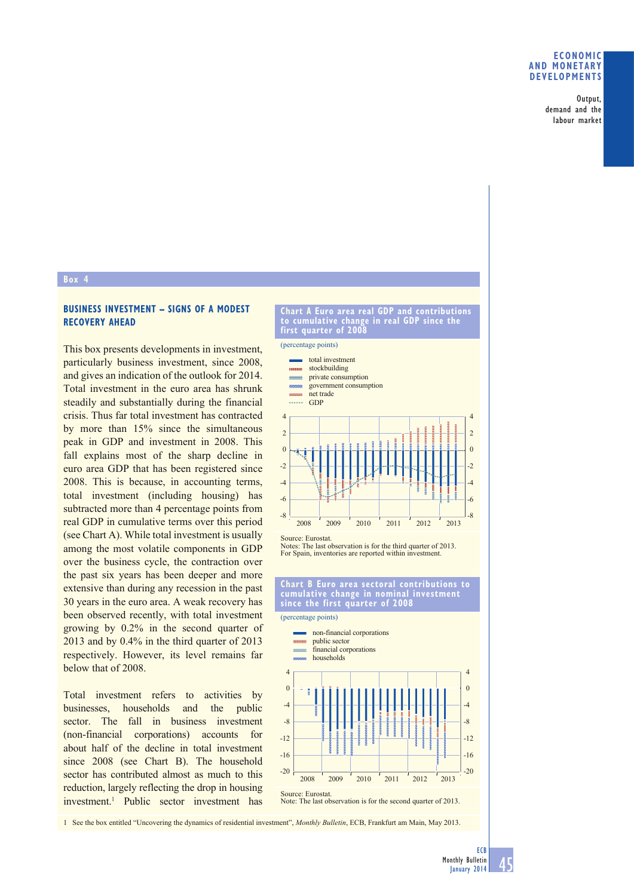### **ECONOMIC AND MONETARY DEVELOPMENTS**

Output, demand and the labour market

## **Box 4**

# **BUSINESS INVESTMENT – SIGNS OF A MODEST RECOVERY AHEAD**

This box presents developments in investment, particularly business investment, since 2008, and gives an indication of the outlook for 2014. Total investment in the euro area has shrunk steadily and substantially during the financial crisis. Thus far total investment has contracted by more than 15% since the simultaneous peak in GDP and investment in 2008. This fall explains most of the sharp decline in euro area GDP that has been registered since 2008. This is because, in accounting terms, total investment (including housing) has subtracted more than 4 percentage points from real GDP in cumulative terms over this period (see Chart A). While total investment is usually among the most volatile components in GDP over the business cycle, the contraction over the past six years has been deeper and more extensive than during any recession in the past 30 years in the euro area. A weak recovery has been observed recently, with total investment growing by 0.2% in the second quarter of 2013 and by 0.4% in the third quarter of 2013 respectively. However, its level remains far below that of 2008.

Total investment refers to activities by businesses, households and the public sector. The fall in business investment (non-financial corporations) accounts for about half of the decline in total investment since 2008 (see Chart B). The household sector has contributed almost as much to this reduction, largely reflecting the drop in housing investment.1 Public sector investment has

#### **Chart A Euro area real GDP and contributions to cumulative change in real GDP since the first quarter of 2008**

(percentage points)



Notes: The last observation is for the third quarter of 2013. For Spain, inventories are reported within investment.

### **Chart B Euro area sectoral contributions to cumulative change in nominal investment since the first quarter of 2008**



Note: The last observation is for the second quarter of 2013.

1 See the box entitled "Uncovering the dynamics of residential investment", *Monthly Bulletin*, ECB, Frankfurt am Main, May 2013.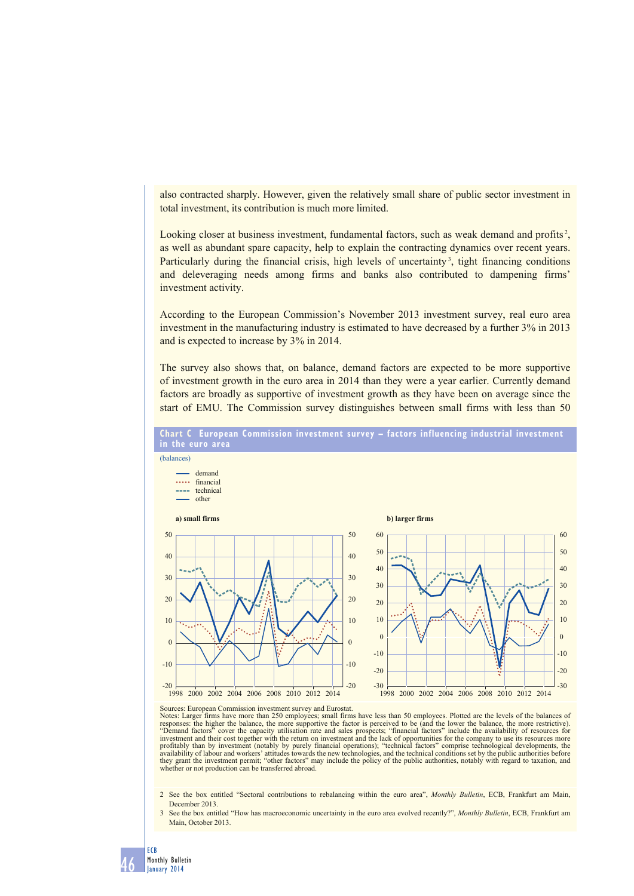also contracted sharply. However, given the relatively small share of public sector investment in total investment, its contribution is much more limited.

Looking closer at business investment, fundamental factors, such as weak demand and profits<sup>2</sup>, as well as abundant spare capacity, help to explain the contracting dynamics over recent years. Particularly during the financial crisis, high levels of uncertainty<sup>3</sup>, tight financing conditions and deleveraging needs among firms and banks also contributed to dampening firms' investment activity.

According to the European Commission's November 2013 investment survey, real euro area investment in the manufacturing industry is estimated to have decreased by a further 3% in 2013 and is expected to increase by 3% in 2014.

The survey also shows that, on balance, demand factors are expected to be more supportive of investment growth in the euro area in 2014 than they were a year earlier. Currently demand factors are broadly as supportive of investment growth as they have been on average since the start of EMU. The Commission survey distinguishes between small firms with less than 50



46

ECB Monthly Bulletin January 2014

Sources: European Commission investment survey and Eurostat.<br>Notes: Larger firms have more than 250 employees; small firm firms have more than 250 employees; small firms have less than 50 employees. Plotted are the levels of the balances of responses: the higher the balance, the more supportive the factor is perceived to be (and the lower the balance, the more restrictive).<br>"Demand factors" cover the capacity utilisation rate and sales prospects; "financial f investment and their cost together with the return on investment and the lack of opportunities for the company to use its resources more<br>profitably than by investment (notably by purely financial operations); "technical fa they grant the investment permit; "other factors" may include the policy of the public authorities, notably with regard to taxation, and whether or not production can be transferred abroad.

2 See the box entitled "Sectoral contributions to rebalancing within the euro area", *Monthly Bulletin*, ECB, Frankfurt am Main, December 2013.

3 See the box entitled "How has macroeconomic uncertainty in the euro area evolved recently?", *Monthly Bulletin*, ECB, Frankfurt am Main, October 2013.